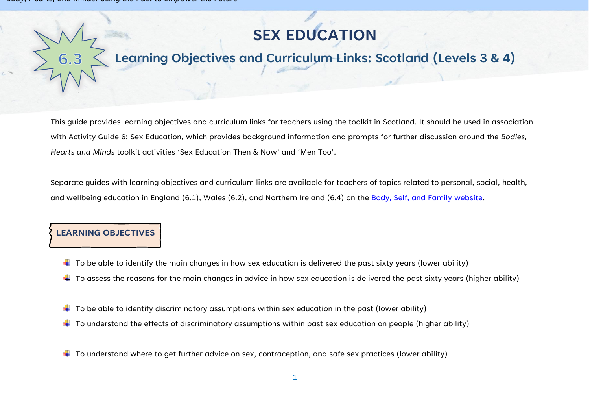# **SEX EDUCATION**

## **Learning Objectives and Curriculum Links: Scotland (Levels 3 & 4)**

This guide provides learning objectives and curriculum links for teachers using the toolkit in Scotland. It should be used in association with Activity Guide 6: Sex Education, which provides background information and prompts for further discussion around the *Bodies, Hearts and Minds* toolkit activities 'Sex Education Then & Now' and 'Men Too'.

Separate guides with learning objectives and curriculum links are available for teachers of topics related to personal, social, health, and wellbeing education in England (6.1), Wales (6.2), and Northern Ireland (6.4) on the [Body, Self, and Family website.](https://bodyselffamily.org/)

#### **LEARNING OBJECTIVES**

- $\downarrow$  To be able to identify the main changes in how sex education is delivered the past sixty years (lower ability)
- $\ddotplus$  To assess the reasons for the main changes in advice in how sex education is delivered the past sixty years (higher ability)
- $\ddotplus$  To be able to identify discriminatory assumptions within sex education in the past (lower ability)
- $\ddotplus$  To understand the effects of discriminatory assumptions within past sex education on people (higher ability)
- $\downarrow$  To understand where to get further advice on sex, contraception, and safe sex practices (lower ability)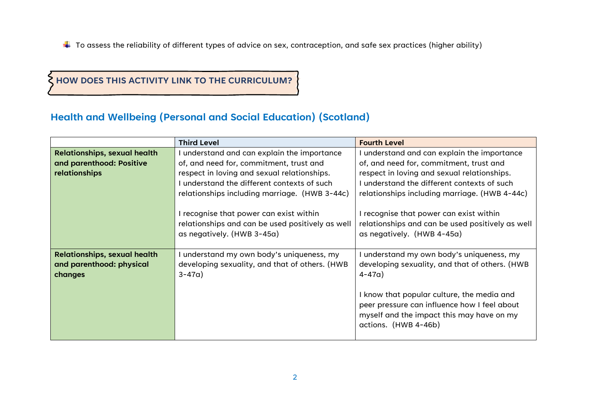$\ddotplus$  To assess the reliability of different types of advice on sex, contraception, and safe sex practices (higher ability)

#### **HOW DOES THIS ACTIVITY LINK TO THE CURRICULUM?**

### **Health and Wellbeing (Personal and Social Education) (Scotland)**

|                                                  | <b>Third Level</b>                                                                                                                                                                                                                                                                                                | <b>Fourth Level</b>                                                                                                                                                                                                                                                                                               |
|--------------------------------------------------|-------------------------------------------------------------------------------------------------------------------------------------------------------------------------------------------------------------------------------------------------------------------------------------------------------------------|-------------------------------------------------------------------------------------------------------------------------------------------------------------------------------------------------------------------------------------------------------------------------------------------------------------------|
| <b>Relationships, sexual health</b>              | understand and can explain the importance                                                                                                                                                                                                                                                                         | understand and can explain the importance                                                                                                                                                                                                                                                                         |
| and parenthood: Positive<br><b>relationships</b> | of, and need for, commitment, trust and<br>respect in loving and sexual relationships.<br>understand the different contexts of such<br>relationships including marriage. (HWB 3-44c)<br>I recognise that power can exist within<br>relationships and can be used positively as well<br>as negatively. (HWB 3-45a) | of, and need for, commitment, trust and<br>respect in loving and sexual relationships.<br>understand the different contexts of such<br>relationships including marriage. (HWB 4-44c)<br>I recognise that power can exist within<br>relationships and can be used positively as well<br>as negatively. (HWB 4-45a) |
|                                                  |                                                                                                                                                                                                                                                                                                                   |                                                                                                                                                                                                                                                                                                                   |
| <b>Relationships, sexual health</b>              | understand my own body's uniqueness, my                                                                                                                                                                                                                                                                           | understand my own body's uniqueness, my                                                                                                                                                                                                                                                                           |
| and parenthood: physical<br>changes              | developing sexuality, and that of others. (HWB<br>$3 - 47a$ )                                                                                                                                                                                                                                                     | developing sexuality, and that of others. (HWB<br>$4 - 47a$                                                                                                                                                                                                                                                       |
|                                                  |                                                                                                                                                                                                                                                                                                                   | I know that popular culture, the media and<br>peer pressure can influence how I feel about<br>myself and the impact this may have on my<br>actions. (HWB 4-46b)                                                                                                                                                   |